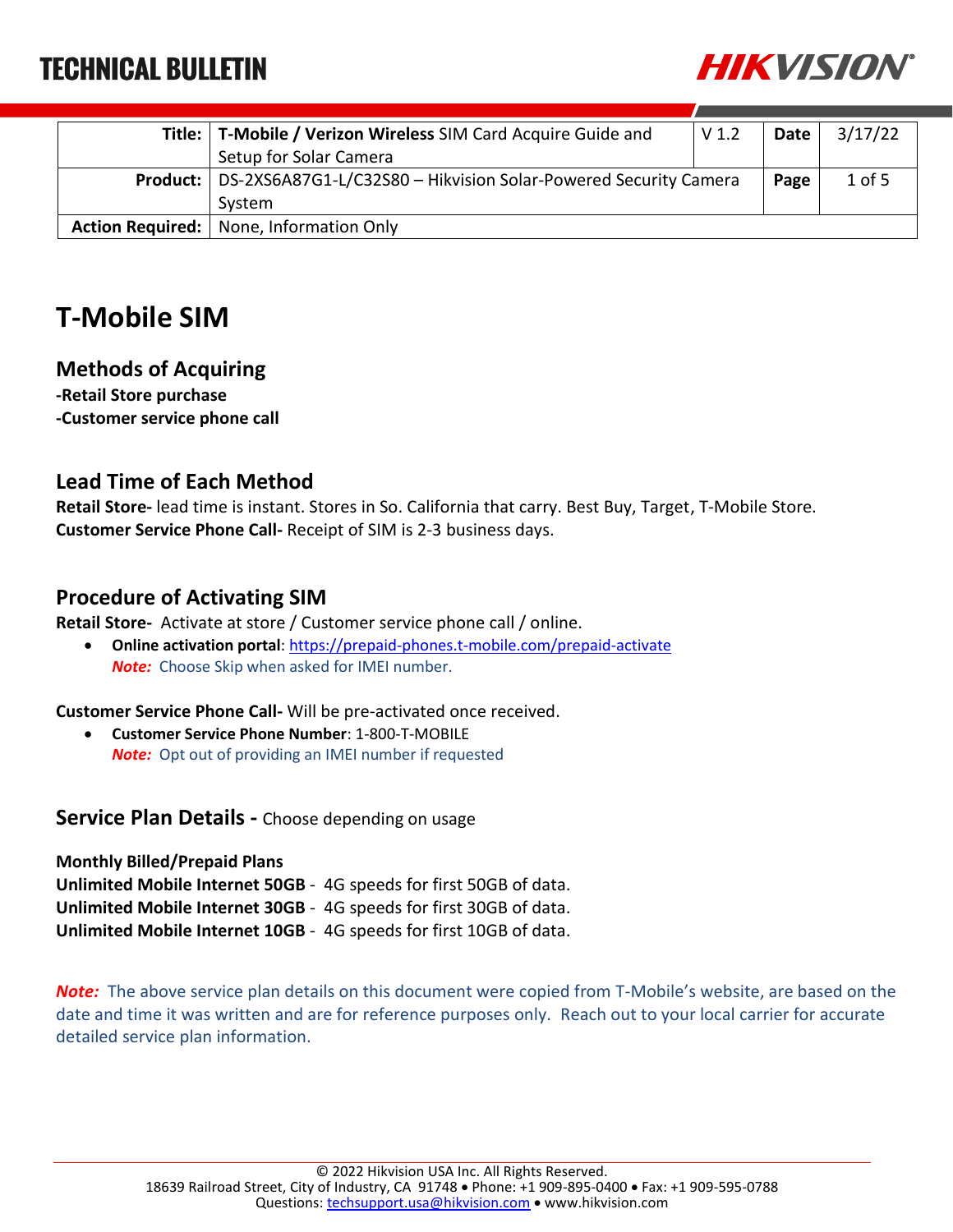

| Title:   T-Mobile / Verizon Wireless SIM Card Acquire Guide and                 | V <sub>1.2</sub> | Date l | 3/17/22  |
|---------------------------------------------------------------------------------|------------------|--------|----------|
| Setup for Solar Camera                                                          |                  |        |          |
| <b>Product:</b> DS-2XS6A87G1-L/C32S80 - Hikvision Solar-Powered Security Camera |                  | Page   | $1$ of 5 |
| System                                                                          |                  |        |          |
| Action Required:   None, Information Only                                       |                  |        |          |

### **T-Mobile SIM**

#### **Methods of Acquiring**

**-Retail Store purchase -Customer service phone call**

### **Lead Time of Each Method**

**Retail Store-** lead time is instant. Stores in So. California that carry. Best Buy, Target, T-Mobile Store. **Customer Service Phone Call-** Receipt of SIM is 2-3 business days.

#### **Procedure of Activating SIM**

**Retail Store-** Activate at store / Customer service phone call / online.

 **Online activation portal**:<https://prepaid-phones.t-mobile.com/prepaid-activate> *Note:* Choose Skip when asked for IMEI number.

**Customer Service Phone Call-** Will be pre-activated once received.

 **Customer Service Phone Number**: 1-800-T-MOBILE *Note:* Opt out of providing an IMEI number if requested

**Service Plan Details -** Choose depending on usage

**Monthly Billed/Prepaid Plans Unlimited Mobile Internet 50GB** - 4G speeds for first 50GB of data. **Unlimited Mobile Internet 30GB** - 4G speeds for first 30GB of data. **Unlimited Mobile Internet 10GB** - 4G speeds for first 10GB of data.

*Note:* The above service plan details on this document were copied from T-Mobile's website, are based on the date and time it was written and are for reference purposes only. Reach out to your local carrier for accurate detailed service plan information.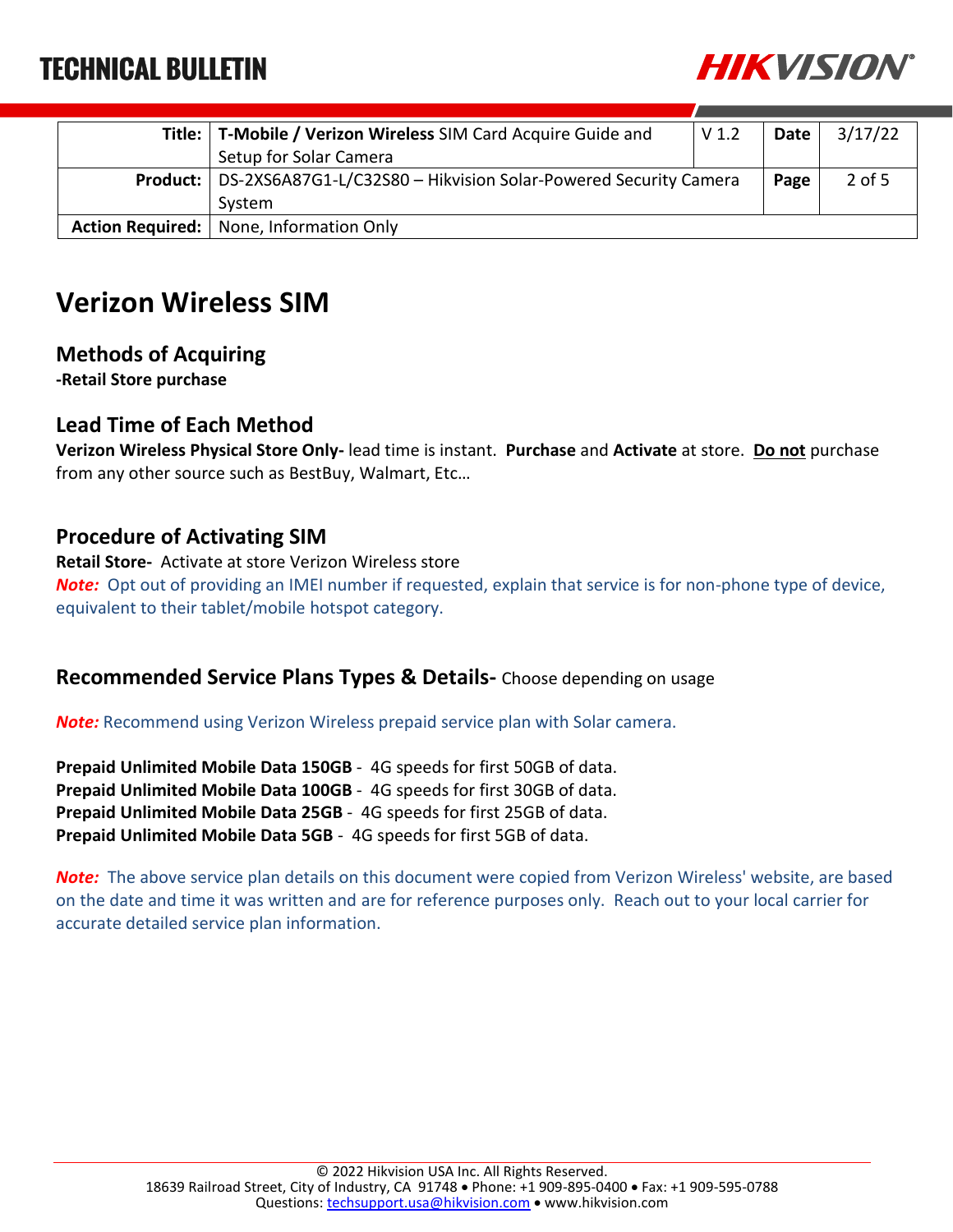

|                         | Title:   T-Mobile / Verizon Wireless SIM Card Acquire Guide and                 | V <sub>1.2</sub> | Date | 3/17/22  |
|-------------------------|---------------------------------------------------------------------------------|------------------|------|----------|
|                         | Setup for Solar Camera                                                          |                  |      |          |
|                         | <b>Product:</b> DS-2XS6A87G1-L/C32S80 - Hikvision Solar-Powered Security Camera |                  | Page | $2$ of 5 |
|                         | System                                                                          |                  |      |          |
| <b>Action Required:</b> | None, Information Only                                                          |                  |      |          |

### **Verizon Wireless SIM**

### **Methods of Acquiring**

**-Retail Store purchase**

### **Lead Time of Each Method**

**Verizon Wireless Physical Store Only-** lead time is instant. **Purchase** and **Activate** at store. **Do not** purchase from any other source such as BestBuy, Walmart, Etc…

### **Procedure of Activating SIM**

**Retail Store-** Activate at store Verizon Wireless store *Note:* Opt out of providing an IMEI number if requested, explain that service is for non-phone type of device, equivalent to their tablet/mobile hotspot category.

#### **Recommended Service Plans Types & Details-** Choose depending on usage

*Note:* Recommend using Verizon Wireless prepaid service plan with Solar camera.

**Prepaid Unlimited Mobile Data 150GB** - 4G speeds for first 50GB of data. **Prepaid Unlimited Mobile Data 100GB** - 4G speeds for first 30GB of data. **Prepaid Unlimited Mobile Data 25GB** - 4G speeds for first 25GB of data. **Prepaid Unlimited Mobile Data 5GB** - 4G speeds for first 5GB of data.

*Note:* The above service plan details on this document were copied from Verizon Wireless' website, are based on the date and time it was written and are for reference purposes only. Reach out to your local carrier for accurate detailed service plan information.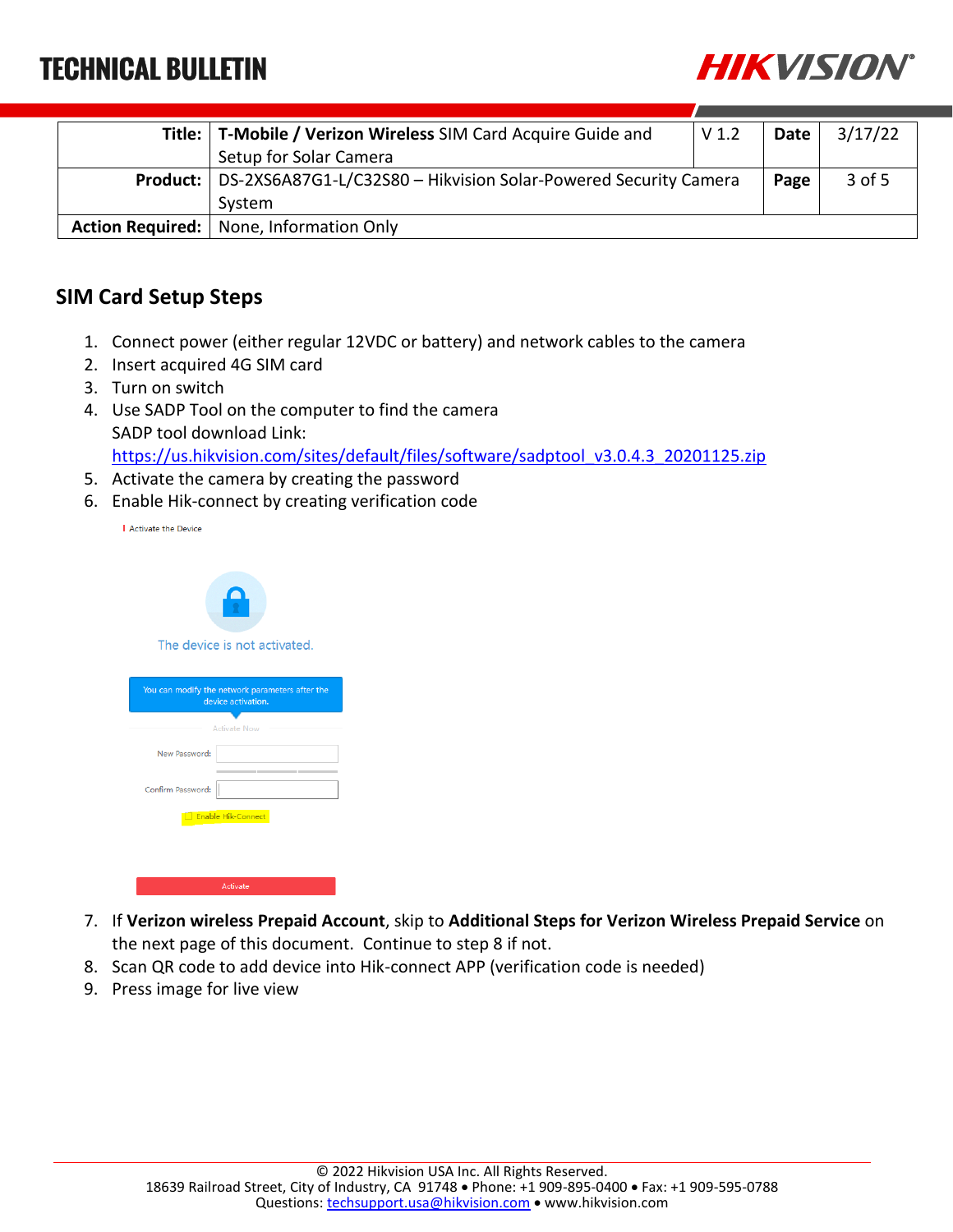

| Title:   T-Mobile / Verizon Wireless SIM Card Acquire Guide and            | V <sub>1.2</sub> | Date I | 3/17/22  |
|----------------------------------------------------------------------------|------------------|--------|----------|
| Setup for Solar Camera                                                     |                  |        |          |
| Product:   DS-2XS6A87G1-L/C32S80 - Hikvision Solar-Powered Security Camera |                  | Page   | $3$ of 5 |
| System                                                                     |                  |        |          |
| Action Required:   None, Information Only                                  |                  |        |          |

### **SIM Card Setup Steps**

- 1. Connect power (either regular 12VDC or battery) and network cables to the camera
- 2. Insert acquired 4G SIM card
- 3. Turn on switch
- 4. Use SADP Tool on the computer to find the camera SADP tool download Link: [https://us.hikvision.com/sites/default/files/software/sadptool\\_v3.0.4.3\\_20201125.zip](https://us.hikvision.com/sites/default/files/software/sadptool_v3.0.4.3_20201125.zip)
- 5. Activate the camera by creating the password
- 6. Enable Hik-connect by creating verification code

| Activate the Device |  |
|---------------------|--|
|                     |  |

| The device is not activated.                                          |  |  |  |
|-----------------------------------------------------------------------|--|--|--|
| You can modify the network parameters after the<br>device activation. |  |  |  |
| <b>Activate Now</b>                                                   |  |  |  |
| New Password:                                                         |  |  |  |
| Confirm Password:                                                     |  |  |  |
| <b>Enable Hik-Connect</b>                                             |  |  |  |
|                                                                       |  |  |  |
|                                                                       |  |  |  |

- 7. If **Verizon wireless Prepaid Account**, skip to **Additional Steps for Verizon Wireless Prepaid Service** on the next page of this document. Continue to step 8 if not.
- 8. Scan QR code to add device into Hik-connect APP (verification code is needed)
- 9. Press image for live view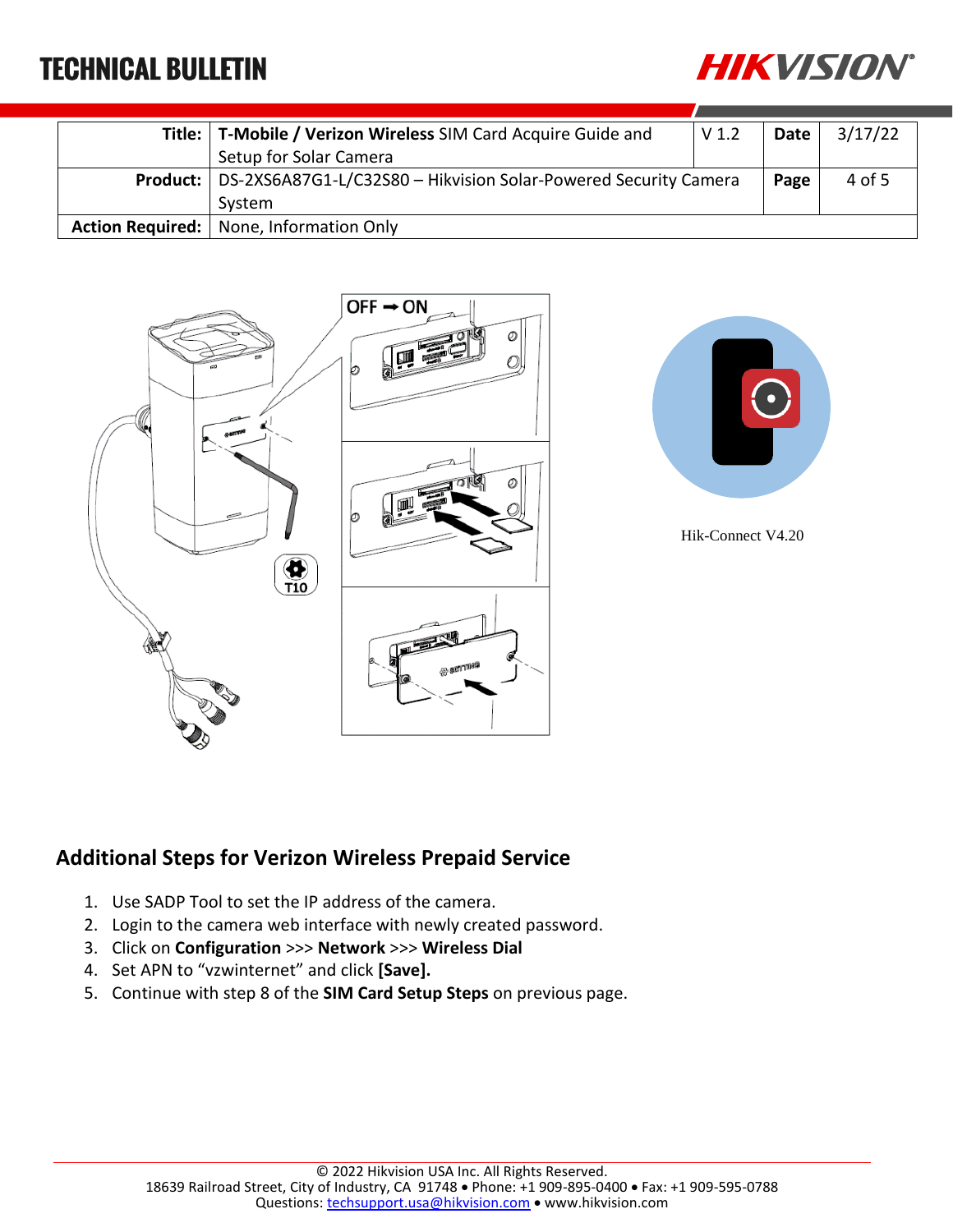

|                         | Title:   T-Mobile / Verizon Wireless SIM Card Acquire Guide and                 | V <sub>1.2</sub> | Date | 3/17/22 |
|-------------------------|---------------------------------------------------------------------------------|------------------|------|---------|
|                         | Setup for Solar Camera                                                          |                  |      |         |
|                         | <b>Product:</b> DS-2XS6A87G1-L/C32S80 - Hikvision Solar-Powered Security Camera |                  | Page | 4 of 5  |
|                         | System                                                                          |                  |      |         |
| <b>Action Required:</b> | None, Information Only                                                          |                  |      |         |





Hik-Connect V4.20

### **Additional Steps for Verizon Wireless Prepaid Service**

- 1. Use SADP Tool to set the IP address of the camera.
- 2. Login to the camera web interface with newly created password.
- 3. Click on **Configuration** >>> **Network** >>> **Wireless Dial**
- 4. Set APN to "vzwinternet" and click **[Save].**
- 5. Continue with step 8 of the **SIM Card Setup Steps** on previous page.